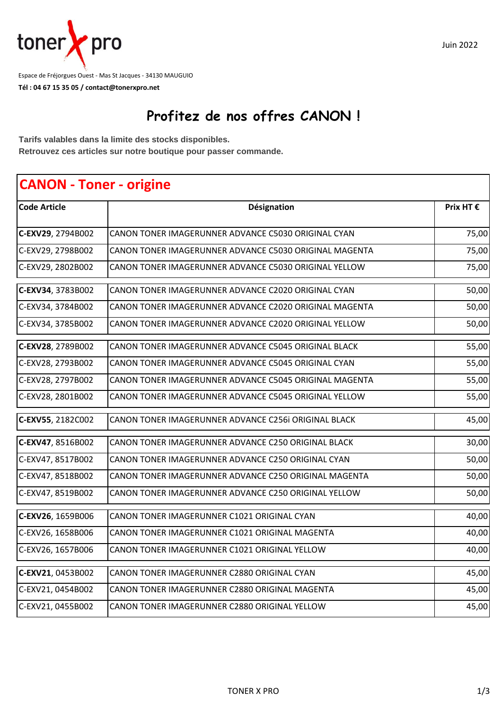

**Tél : 04 67 15 35 05 / contact@tonerxpro.net** Espace de Fréjorgues Ouest - Mas St Jacques - 34130 MAUGUIO

## **Profitez de nos offres CANON !**

**Tarifs valables dans la limite des stocks disponibles. Retrouvez ces articles sur notre boutique pour passer commande.**

## **CANON - Toner - origine Code Article Prix HT € C-EXV29**, 2794B002 CANON TONER IMAGERUNNER ADVANCE C5030 ORIGINAL CYAN CHANNELL TO 175,00 C-EXV29, 2798B002 |CANON TONER IMAGERUNNER ADVANCE C5030 ORIGINAL MAGENTA 75,00 C-EXV29, 2802B002 |CANON TONER IMAGERUNNER ADVANCE C5030 ORIGINAL YELLOW 75,00 **C-EXV34**, 3783B002 50,00 CANON TONER IMAGERUNNER ADVANCE C2020 ORIGINAL CYAN C-EXV34, 3784B002 CANON TONER IMAGERUNNER ADVANCE C2020 ORIGINAL MAGENTA 50,00 C-EXV34, 3785B002 CANON TONER IMAGERUNNER ADVANCE C2020 ORIGINAL YELLOW 50,00 **C-EXV28**, 2789B002 CANON TONER IMAGERUNNER ADVANCE C5045 ORIGINAL BLACK CONVERTED: 55,00 C-EXV28, 2793B002 |CANON TONER IMAGERUNNER ADVANCE C5045 ORIGINAL CYAN 55,00 C-EXV28, 2797B002 |CANON TONER IMAGERUNNER ADVANCE C5045 ORIGINAL MAGENTA 55,00 C-EXV28, 2801B002 CANON TONER IMAGERUNNER ADVANCE C5045 ORIGINAL YELLOW 55,00 **C-EXV55**, 2182C002 CANON TONER IMAGERUNNER ADVANCE C256i ORIGINAL BLACK CANONICAL AS,00 **C-EXV47**, 8516B002 CANON TONER IMAGERUNNER ADVANCE C250 ORIGINAL BLACK CANONAL SUMPLEM 30,00 C-EXV47, 8517B002 CANON TONER IMAGERUNNER ADVANCE C250 ORIGINAL CYAN 50,00 C-EXV47, 8518B002 |CANON TONER IMAGERUNNER ADVANCE C250 ORIGINAL MAGENTA 50,00 C-EXV47, 8519B002 CANON TONER IMAGERUNNER ADVANCE C250 ORIGINAL YELLOW 50,00 **C-EXV26**, 1659B006 CANON TONER IMAGERUNNER C1021 ORIGINAL CYAN 40,00 C-EXV26, 1658B006 CANON TONER IMAGERUNNER C1021 ORIGINAL MAGENTA AND THE RELATION OF THE 40,00 C-EXV26, 1657B006 CANON TONER IMAGERUNNER C1021 ORIGINAL YELLOW 40,00 **C-EXV21**, 0453B002 CANON TONER IMAGERUNNER C2880 ORIGINAL CYAN 45,00 C-EXV21, 0454B002 CANON TONER IMAGERUNNER C2880 ORIGINAL MAGENTA 45,00 C-EXV21, 0455B002 CANON TONER IMAGERUNNER C2880 ORIGINAL YELLOW 45,00 **Désignation**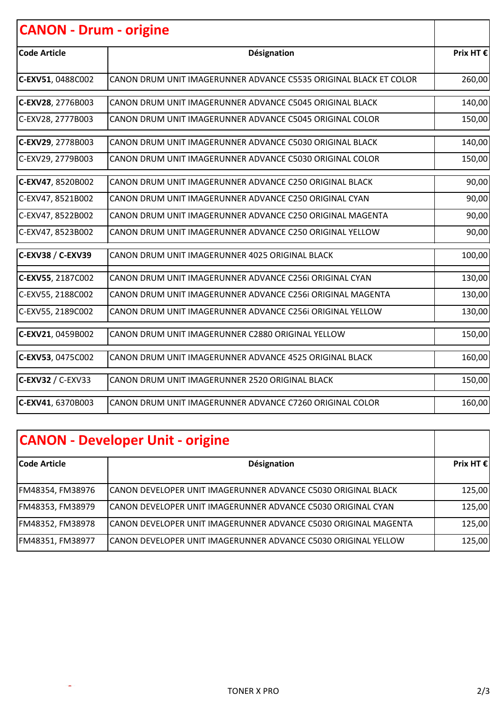| <b>CANON - Drum - origine</b> |                                                                   |           |
|-------------------------------|-------------------------------------------------------------------|-----------|
| <b>Code Article</b>           | Désignation                                                       | Prix HT € |
| C-EXV51, 0488C002             | CANON DRUM UNIT IMAGERUNNER ADVANCE C5535 ORIGINAL BLACK ET COLOR | 260,00    |
| C-EXV28, 2776B003             | CANON DRUM UNIT IMAGERUNNER ADVANCE C5045 ORIGINAL BLACK          | 140,00    |
| C-EXV28, 2777B003             | CANON DRUM UNIT IMAGERUNNER ADVANCE C5045 ORIGINAL COLOR          | 150,00    |
| C-EXV29, 2778B003             | CANON DRUM UNIT IMAGERUNNER ADVANCE C5030 ORIGINAL BLACK          | 140,00    |
| C-EXV29, 2779B003             | CANON DRUM UNIT IMAGERUNNER ADVANCE C5030 ORIGINAL COLOR          | 150,00    |
| C-EXV47, 8520B002             | CANON DRUM UNIT IMAGERUNNER ADVANCE C250 ORIGINAL BLACK           | 90,00     |
| C-EXV47, 8521B002             | CANON DRUM UNIT IMAGERUNNER ADVANCE C250 ORIGINAL CYAN            | 90,00     |
| C-EXV47, 8522B002             | CANON DRUM UNIT IMAGERUNNER ADVANCE C250 ORIGINAL MAGENTA         | 90,00     |
| C-EXV47, 8523B002             | CANON DRUM UNIT IMAGERUNNER ADVANCE C250 ORIGINAL YELLOW          | 90,00     |
| C-EXV38 / C-EXV39             | CANON DRUM UNIT IMAGERUNNER 4025 ORIGINAL BLACK                   | 100,00    |
| C-EXV55, 2187C002             | CANON DRUM UNIT IMAGERUNNER ADVANCE C256i ORIGINAL CYAN           | 130,00    |
| C-EXV55, 2188C002             | CANON DRUM UNIT IMAGERUNNER ADVANCE C256i ORIGINAL MAGENTA        | 130,00    |
| C-EXV55, 2189C002             | CANON DRUM UNIT IMAGERUNNER ADVANCE C256i ORIGINAL YELLOW         | 130,00    |
| C-EXV21, 0459B002             | CANON DRUM UNIT IMAGERUNNER C2880 ORIGINAL YELLOW                 | 150,00    |
| C-EXV53, 0475C002             | CANON DRUM UNIT IMAGERUNNER ADVANCE 4525 ORIGINAL BLACK           | 160,00    |
| $C$ -EXV32 / C-EXV33          | CANON DRUM UNIT IMAGERUNNER 2520 ORIGINAL BLACK                   | 150,00    |
| C-EXV41, 6370B003             | CANON DRUM UNIT IMAGERUNNER ADVANCE C7260 ORIGINAL COLOR          | 160,00    |

| <b>CANON - Developer Unit - origine</b> |                                                                  |                    |
|-----------------------------------------|------------------------------------------------------------------|--------------------|
| lCode Article                           | Désignation                                                      | Prix HT $\epsilon$ |
| FM48354, FM38976                        | CANON DEVELOPER UNIT IMAGERUNNER ADVANCE C5030 ORIGINAL BLACK    | 125,00             |
| FM48353, FM38979                        | CANON DEVELOPER UNIT IMAGERUNNER ADVANCE C5030 ORIGINAL CYAN     | 125,00             |
| FM48352, FM38978                        | ICANON DEVELOPER UNIT IMAGERUNNER ADVANCE C5030 ORIGINAL MAGENTA | 125,00             |
| FM48351, FM38977                        | ICANON DEVELOPER UNIT IMAGERUNNER ADVANCE C5030 ORIGINAL YELLOW  | 125,00             |